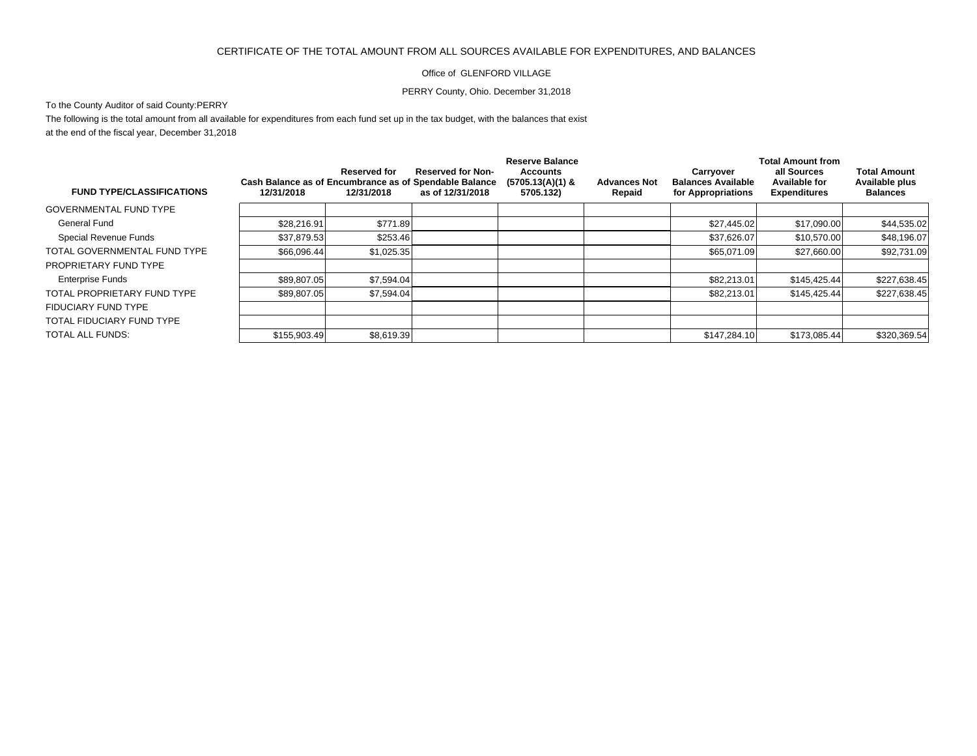## CERTIFICATE OF THE TOTAL AMOUNT FROM ALL SOURCES AVAILABLE FOR EXPENDITURES, AND BALANCES

## Office of GLENFORD VILLAGE

## PERRY County, Ohio. December 31,2018

## To the County Auditor of said County:PERRY

The following is the total amount from all available for expenditures from each fund set up in the tax budget, with the balances that exist at the end of the fiscal year, December 31,2018

|                                  |                                                                      |                            |                                              | <b>Reserve Balance</b>                             |                               | <b>Total Amount from</b>                                     |                                                     |                                                          |
|----------------------------------|----------------------------------------------------------------------|----------------------------|----------------------------------------------|----------------------------------------------------|-------------------------------|--------------------------------------------------------------|-----------------------------------------------------|----------------------------------------------------------|
| <b>FUND TYPE/CLASSIFICATIONS</b> | Cash Balance as of Encumbrance as of Spendable Balance<br>12/31/2018 | Reserved for<br>12/31/2018 | <b>Reserved for Non-</b><br>as of 12/31/2018 | <b>Accounts</b><br>$(5705.13(A)(1)$ &<br>5705.132) | <b>Advances Not</b><br>Repaid | Carrvover<br><b>Balances Available</b><br>for Appropriations | all Sources<br>Available for<br><b>Expenditures</b> | <b>Total Amount</b><br>Available plus<br><b>Balances</b> |
| <b>GOVERNMENTAL FUND TYPE</b>    |                                                                      |                            |                                              |                                                    |                               |                                                              |                                                     |                                                          |
| General Fund                     | \$28,216.91                                                          | \$771.89                   |                                              |                                                    |                               | \$27,445.02                                                  | \$17,090.00                                         | \$44,535.02                                              |
| Special Revenue Funds            | \$37,879.53                                                          | \$253.46                   |                                              |                                                    |                               | \$37.626.07                                                  | \$10,570,00                                         | \$48,196.07                                              |
| TOTAL GOVERNMENTAL FUND TYPE     | \$66,096.44                                                          | \$1,025.35                 |                                              |                                                    |                               | \$65.071.09                                                  | \$27,660.00                                         | \$92,731.09                                              |
| PROPRIETARY FUND TYPE            |                                                                      |                            |                                              |                                                    |                               |                                                              |                                                     |                                                          |
| <b>Enterprise Funds</b>          | \$89.807.05                                                          | \$7.594.04                 |                                              |                                                    |                               | \$82.213.01                                                  | \$145.425.44                                        | \$227,638.45                                             |
| TOTAL PROPRIETARY FUND TYPE      | \$89,807.05                                                          | \$7,594.04                 |                                              |                                                    |                               | \$82,213.01                                                  | \$145,425.44                                        | \$227,638.45                                             |
| FIDUCIARY FUND TYPE              |                                                                      |                            |                                              |                                                    |                               |                                                              |                                                     |                                                          |
| TOTAL FIDUCIARY FUND TYPE        |                                                                      |                            |                                              |                                                    |                               |                                                              |                                                     |                                                          |
| TOTAL ALL FUNDS:                 | \$155,903.49                                                         | \$8,619.39                 |                                              |                                                    |                               | \$147.284.10                                                 | \$173.085.44                                        | \$320,369.54                                             |
|                                  |                                                                      |                            |                                              |                                                    |                               |                                                              |                                                     |                                                          |